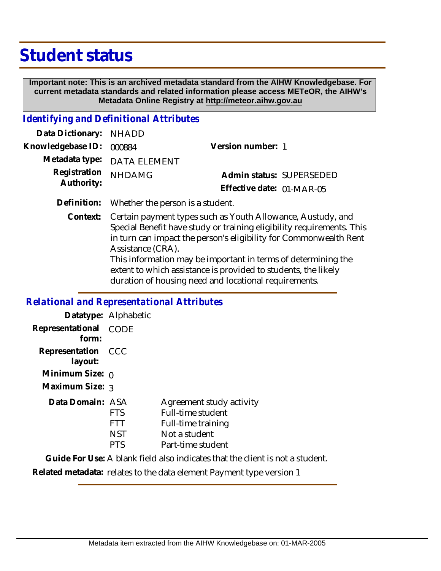# **Student status**

 **Important note: This is an archived metadata standard from the AIHW Knowledgebase. For current metadata standards and related information please access METeOR, the AIHW's Metadata Online Registry at http://meteor.aihw.gov.au**

# *Identifying and Definitional Attributes*

| Data Dictionary: NHADD   |                                              |                           |                          |
|--------------------------|----------------------------------------------|---------------------------|--------------------------|
| Knowledgebase ID: 000884 |                                              | Version number: 1         |                          |
|                          | Metadata type: DATA ELEMENT                  |                           |                          |
| Registration NHDAMG      |                                              |                           | Admin status: SUPERSEDED |
| Authority:               |                                              | Effective date: 01-MAR-05 |                          |
|                          | Definition: Whether the person is a student. |                           |                          |

Context: Certain payment types such as Youth Allowance, Austudy, and Special Benefit have study or training eligibility requirements. This in turn can impact the person's eligibility for Commonwealth Rent Assistance (CRA). This information may be important in terms of determining the extent to which assistance is provided to students, the likely

duration of housing need and locational requirements.

#### *Relational and Representational Attributes*

|                               | Datatype: Alphabetic                   |                                                                                                           |
|-------------------------------|----------------------------------------|-----------------------------------------------------------------------------------------------------------|
| Representational<br>form:     | <b>CODE</b>                            |                                                                                                           |
| Representation CCC<br>layout: |                                        |                                                                                                           |
| Minimum Size: $0$             |                                        |                                                                                                           |
| Maximum Size: 3               |                                        |                                                                                                           |
| Data Domain: ASA              | FTS<br>FII<br><b>NST</b><br><b>PTS</b> | Agreement study activity<br>Full-time student<br>Full-time training<br>Not a student<br>Part-time student |

**Guide For Use:** A blank field also indicates that the client is not a student.

**Related metadata:** relates to the data element Payment type version 1